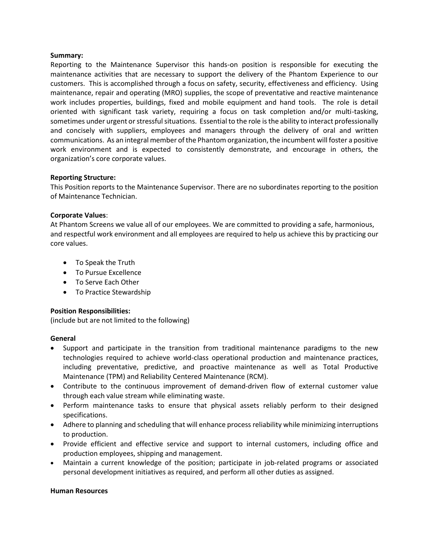### **Summary:**

Reporting to the Maintenance Supervisor this hands-on position is responsible for executing the maintenance activities that are necessary to support the delivery of the Phantom Experience to our customers. This is accomplished through a focus on safety, security, effectiveness and efficiency. Using maintenance, repair and operating (MRO) supplies, the scope of preventative and reactive maintenance work includes properties, buildings, fixed and mobile equipment and hand tools. The role is detail oriented with significant task variety, requiring a focus on task completion and/or multi-tasking, sometimes under urgent or stressful situations. Essential to the role is the ability to interact professionally and concisely with suppliers, employees and managers through the delivery of oral and written communications. As an integral member of the Phantom organization, the incumbent will foster a positive work environment and is expected to consistently demonstrate, and encourage in others, the organization's core corporate values.

### **Reporting Structure:**

This Position reports to the Maintenance Supervisor. There are no subordinates reporting to the position of Maintenance Technician.

### **Corporate Values**:

At Phantom Screens we value all of our employees. We are committed to providing a safe, harmonious, and respectful work environment and all employees are required to help us achieve this by practicing our core values.

- To Speak the Truth
- To Pursue Excellence
- To Serve Each Other
- To Practice Stewardship

## **Position Responsibilities:**

(include but are not limited to the following)

#### **General**

- Support and participate in the transition from traditional maintenance paradigms to the new technologies required to achieve world-class operational production and maintenance practices, including preventative, predictive, and proactive maintenance as well as Total Productive Maintenance (TPM) and Reliability Centered Maintenance (RCM).
- Contribute to the continuous improvement of demand-driven flow of external customer value through each value stream while eliminating waste.
- Perform maintenance tasks to ensure that physical assets reliably perform to their designed specifications.
- Adhere to planning and scheduling that will enhance process reliability while minimizing interruptions to production.
- Provide efficient and effective service and support to internal customers, including office and production employees, shipping and management.
- Maintain a current knowledge of the position; participate in job-related programs or associated personal development initiatives as required, and perform all other duties as assigned.

#### **Human Resources**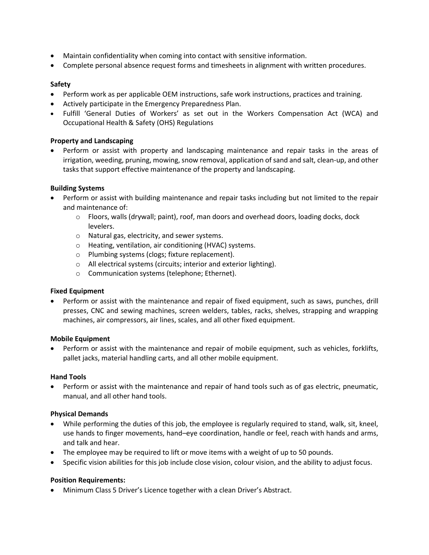- Maintain confidentiality when coming into contact with sensitive information.
- Complete personal absence request forms and timesheets in alignment with written procedures.

## **Safety**

- Perform work as per applicable OEM instructions, safe work instructions, practices and training.
- Actively participate in the Emergency Preparedness Plan.
- Fulfill 'General Duties of Workers' as set out in the Workers Compensation Act (WCA) and Occupational Health & Safety (OHS) Regulations

## **Property and Landscaping**

• Perform or assist with property and landscaping maintenance and repair tasks in the areas of irrigation, weeding, pruning, mowing, snow removal, application of sand and salt, clean-up, and other tasks that support effective maintenance of the property and landscaping.

## **Building Systems**

- Perform or assist with building maintenance and repair tasks including but not limited to the repair and maintenance of:
	- $\circ$  Floors, walls (drywall; paint), roof, man doors and overhead doors, loading docks, dock levelers.
	- o Natural gas, electricity, and sewer systems.
	- o Heating, ventilation, air conditioning (HVAC) systems.
	- o Plumbing systems (clogs; fixture replacement).
	- o All electrical systems (circuits; interior and exterior lighting).
	- o Communication systems (telephone; Ethernet).

## **Fixed Equipment**

• Perform or assist with the maintenance and repair of fixed equipment, such as saws, punches, drill presses, CNC and sewing machines, screen welders, tables, racks, shelves, strapping and wrapping machines, air compressors, air lines, scales, and all other fixed equipment.

## **Mobile Equipment**

• Perform or assist with the maintenance and repair of mobile equipment, such as vehicles, forklifts, pallet jacks, material handling carts, and all other mobile equipment.

## **Hand Tools**

• Perform or assist with the maintenance and repair of hand tools such as of gas electric, pneumatic, manual, and all other hand tools.

## **Physical Demands**

- While performing the duties of this job, the employee is regularly required to stand, walk, sit, kneel, use hands to finger movements, hand–eye coordination, handle or feel, reach with hands and arms, and talk and hear.
- The employee may be required to lift or move items with a weight of up to 50 pounds.
- Specific vision abilities for this job include close vision, colour vision, and the ability to adjust focus.

## **Position Requirements:**

• Minimum Class 5 Driver's Licence together with a clean Driver's Abstract.